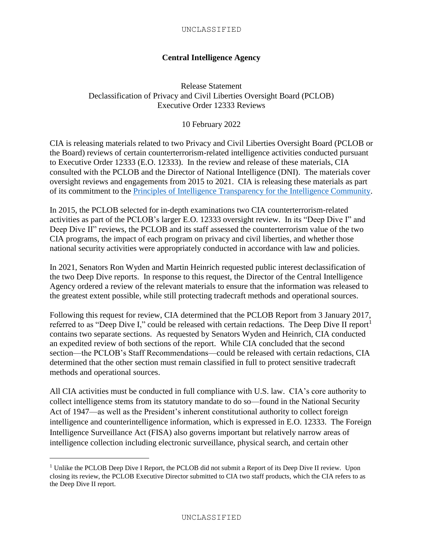## **Central Intelligence Agency**

Release Statement Declassification of Privacy and Civil Liberties Oversight Board (PCLOB) Executive Order 12333 Reviews

10 February 2022

CIA is releasing materials related to two Privacy and Civil Liberties Oversight Board (PCLOB or the Board) reviews of certain counterterrorism-related intelligence activities conducted pursuant to Executive Order 12333 (E.O. 12333). In the review and release of these materials, CIA consulted with the PCLOB and the Director of National Intelligence (DNI). The materials cover oversight reviews and engagements from 2015 to 2021. CIA is releasing these materials as part of its commitment to the [Principles of Intelligence Transparency for the Intelligence Community.](https://www.dni.gov/index.php/ic-legal-reference-book/the-principles-of-intelligence-transparency-for-the-ic?highlight=WyJ0cmFuc3BhcmVuY3kiLCJ0cmFuc3BhcmVudCIsInRyYW5zcGFyZW50JyIsInRyYW5zcGFyZW5jeSdzIiwidHJhbnNwYXJlbnRseSJd)

In 2015, the PCLOB selected for in-depth examinations two CIA counterterrorism-related activities as part of the PCLOB's larger E.O. 12333 oversight review. In its "Deep Dive I" and Deep Dive II" reviews, the PCLOB and its staff assessed the counterterrorism value of the two CIA programs, the impact of each program on privacy and civil liberties, and whether those national security activities were appropriately conducted in accordance with law and policies.

In 2021, Senators Ron Wyden and Martin Heinrich requested public interest declassification of the two Deep Dive reports. In response to this request, the Director of the Central Intelligence Agency ordered a review of the relevant materials to ensure that the information was released to the greatest extent possible, while still protecting tradecraft methods and operational sources.

Following this request for review, CIA determined that the PCLOB Report from 3 January 2017, referred to as "Deep Dive I," could be released with certain redactions. The Deep Dive II report<sup>1</sup> contains two separate sections. As requested by Senators Wyden and Heinrich, CIA conducted an expedited review of both sections of the report. While CIA concluded that the second section—the PCLOB's Staff Recommendations—could be released with certain redactions, CIA determined that the other section must remain classified in full to protect sensitive tradecraft methods and operational sources.

All CIA activities must be conducted in full compliance with U.S. law. CIA's core authority to collect intelligence stems from its statutory mandate to do so—found in the National Security Act of 1947—as well as the President's inherent constitutional authority to collect foreign intelligence and counterintelligence information, which is expressed in E.O. 12333. The Foreign Intelligence Surveillance Act (FISA) also governs important but relatively narrow areas of intelligence collection including electronic surveillance, physical search, and certain other

l

<sup>&</sup>lt;sup>1</sup> Unlike the PCLOB Deep Dive I Report, the PCLOB did not submit a Report of its Deep Dive II review. Upon closing its review, the PCLOB Executive Director submitted to CIA two staff products, which the CIA refers to as the Deep Dive II report.